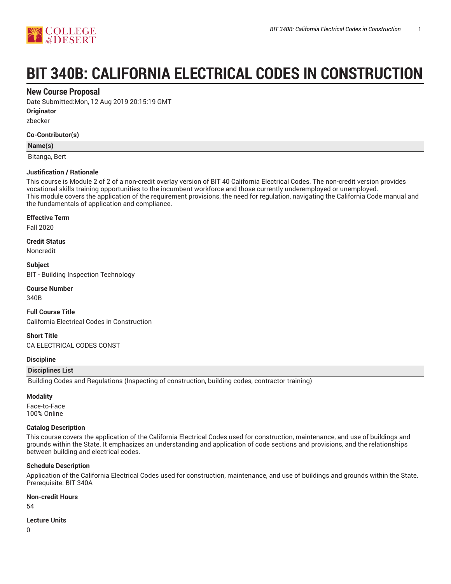

# **BIT 340B: CALIFORNIA ELECTRICAL CODES IN CONSTRUCTION**

## **New Course Proposal**

Date Submitted:Mon, 12 Aug 2019 20:15:19 GMT

**Originator**

zbecker

#### **Co-Contributor(s)**

#### **Name(s)**

Bitanga, Bert

#### **Justification / Rationale**

This course is Module 2 of 2 of a non-credit overlay version of BIT 40 California Electrical Codes. The non-credit version provides vocational skills training opportunities to the incumbent workforce and those currently underemployed or unemployed. This module covers the application of the requirement provisions, the need for regulation, navigating the California Code manual and the fundamentals of application and compliance.

#### **Effective Term**

Fall 2020

**Credit Status**

Noncredit

**Subject** BIT - Building Inspection Technology

# **Course Number**

340B

**Full Course Title** California Electrical Codes in Construction

**Short Title** CA ELECTRICAL CODES CONST

#### **Discipline**

#### **Disciplines List**

Building Codes and Regulations (Inspecting of construction, building codes, contractor training)

#### **Modality**

Face-to-Face 100% Online

#### **Catalog Description**

This course covers the application of the California Electrical Codes used for construction, maintenance, and use of buildings and grounds within the State. It emphasizes an understanding and application of code sections and provisions, and the relationships between building and electrical codes.

#### **Schedule Description**

Application of the California Electrical Codes used for construction, maintenance, and use of buildings and grounds within the State. Prerequisite: BIT 340A

#### **Non-credit Hours**

54

#### **Lecture Units**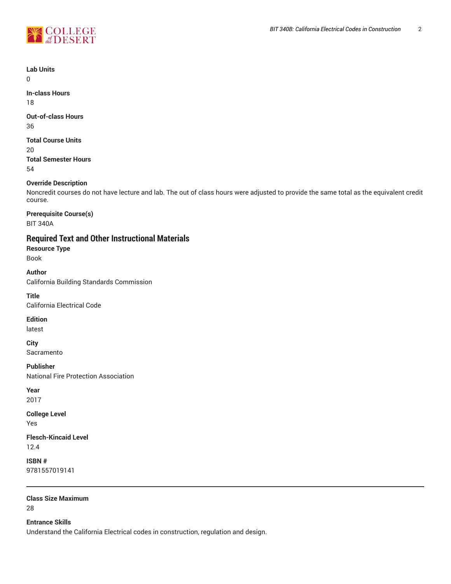

**Lab Units**

 $\Omega$ 

**In-class Hours** 18

**Out-of-class Hours**

36

**Total Course Units**

20

**Total Semester Hours** 54

## **Override Description**

Noncredit courses do not have lecture and lab. The out of class hours were adjusted to provide the same total as the equivalent credit course.

**Prerequisite Course(s)** BIT 340A

# **Required Text and Other Instructional Materials**

**Resource Type**

Book

**Author** California Building Standards Commission

**Title** California Electrical Code

**Edition**

latest

**City** Sacramento

**Publisher** National Fire Protection Association

**Year** 2017

**College Level** Yes

**Flesch-Kincaid Level** 12.4

**ISBN #** 9781557019141

**Class Size Maximum** 28

**Entrance Skills**

Understand the California Electrical codes in construction, regulation and design.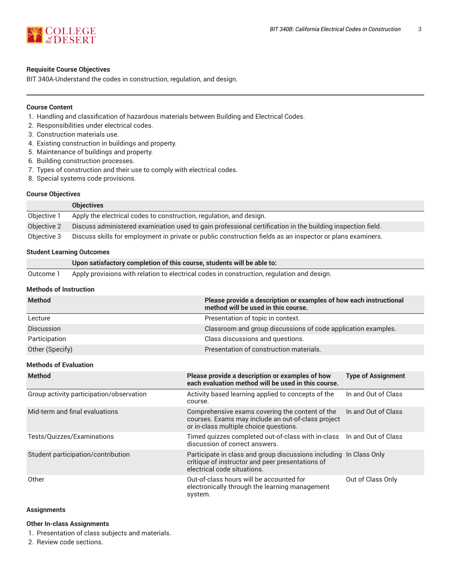

#### **Requisite Course Objectives**

BIT 340A-Understand the codes in construction, regulation, and design.

#### **Course Content**

- 1. Handling and classification of hazardous materials between Building and Electrical Codes.
- 2. Responsibilities under electrical codes.
- 3. Construction materials use.
- 4. Existing construction in buildings and property.
- 5. Maintenance of buildings and property.
- 6. Building construction processes.
- 7. Types of construction and their use to comply with electrical codes.
- 8. Special systems code provisions.

#### **Course Objectives**

|             | <b>Objectives</b>                                                                                          |
|-------------|------------------------------------------------------------------------------------------------------------|
| Objective 1 | Apply the electrical codes to construction, regulation, and design.                                        |
| Objective 2 | Discuss administered examination used to gain professional certification in the building inspection field. |
| Objective 3 | Discuss skills for employment in private or public construction fields as an inspector or plans examiners. |

#### **Student Learning Outcomes**

|           | Upon satisfactory completion of this course, students will be able to:                     |
|-----------|--------------------------------------------------------------------------------------------|
| Outcome 1 | Apply provisions with relation to electrical codes in construction, regulation and design. |

#### **Methods of Instruction**

| <b>Method</b>                            | Please provide a description or examples of how each instructional<br>method will be used in this course.                                             |                           |  |  |
|------------------------------------------|-------------------------------------------------------------------------------------------------------------------------------------------------------|---------------------------|--|--|
| Lecture                                  | Presentation of topic in context.                                                                                                                     |                           |  |  |
| <b>Discussion</b>                        | Classroom and group discussions of code application examples.                                                                                         |                           |  |  |
| Participation                            | Class discussions and questions.                                                                                                                      |                           |  |  |
| Other (Specify)                          | Presentation of construction materials.                                                                                                               |                           |  |  |
| <b>Methods of Evaluation</b>             |                                                                                                                                                       |                           |  |  |
| <b>Method</b>                            | Please provide a description or examples of how<br>each evaluation method will be used in this course.                                                | <b>Type of Assignment</b> |  |  |
| Group activity participation/observation | Activity based learning applied to concepts of the<br>course.                                                                                         | In and Out of Class       |  |  |
| Mid-term and final evaluations           | Comprehensive exams covering the content of the<br>courses. Exams may include an out-of-class project<br>or in-class multiple choice questions.       | In and Out of Class       |  |  |
| Tests/Quizzes/Examinations               | Timed quizzes completed out-of-class with in-class<br>discussion of correct answers.                                                                  | In and Out of Class       |  |  |
| Student participation/contribution       | Participate in class and group discussions including In Class Only<br>critique of instructor and peer presentations of<br>electrical code situations. |                           |  |  |
| Other                                    | Out-of-class hours will be accounted for<br>electronically through the learning management<br>system.                                                 | Out of Class Only         |  |  |

#### **Assignments**

#### **Other In-class Assignments**

- 1. Presentation of class subjects and materials.
- 2. Review code sections.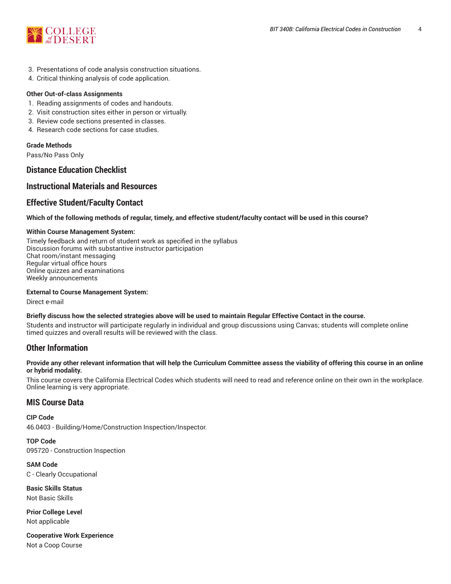

- 3. Presentations of code analysis construction situations.
- 4. Critical thinking analysis of code application.

#### **Other Out-of-class Assignments**

- 1. Reading assignments of codes and handouts.
- 2. Visit construction sites either in person or virtually.
- 3. Review code sections presented in classes.
- 4. Research code sections for case studies.

#### **Grade Methods**

Pass/No Pass Only

# **Distance Education Checklist**

# **Instructional Materials and Resources**

# **Effective Student/Faculty Contact**

#### Which of the following methods of regular, timely, and effective student/faculty contact will be used in this course?

#### **Within Course Management System:**

Timely feedback and return of student work as specified in the syllabus Discussion forums with substantive instructor participation Chat room/instant messaging Regular virtual office hours Online quizzes and examinations Weekly announcements

#### **External to Course Management System:**

Direct e-mail

#### Briefly discuss how the selected strategies above will be used to maintain Regular Effective Contact in the course.

Students and instructor will participate regularly in individual and group discussions using Canvas; students will complete online timed quizzes and overall results will be reviewed with the class.

# **Other Information**

#### Provide any other relevant information that will help the Curriculum Committee assess the viability of offering this course in an online **or hybrid modality.**

This course covers the California Electrical Codes which students will need to read and reference online on their own in the workplace. Online learning is very appropriate.

### **MIS Course Data**

**CIP Code** 46.0403 - Building/Home/Construction Inspection/Inspector.

**TOP Code** 095720 - Construction Inspection

**SAM Code** C - Clearly Occupational

**Basic Skills Status** Not Basic Skills

**Prior College Level** Not applicable

**Cooperative Work Experience** Not a Coop Course